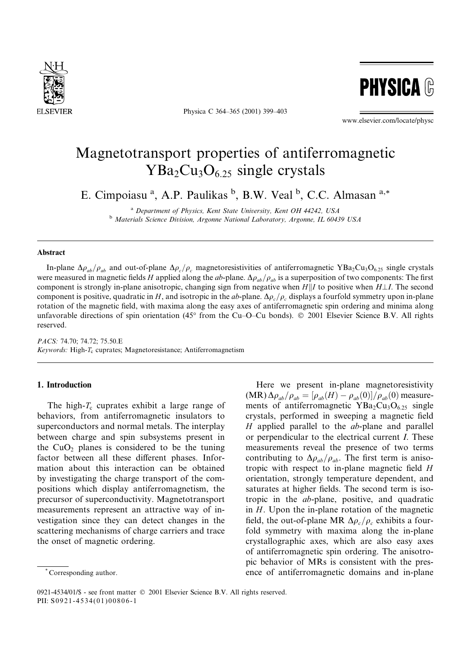

Physica C 364-365 (2001) 399-403



www.elsevier.com/locate/physc

# Magnetotransport properties of antiferromagnetic  $YBa<sub>2</sub>Cu<sub>3</sub>O<sub>6.25</sub>$  single crystals

E. Cimpoiasu<sup>a</sup>, A.P. Paulikas<sup>b</sup>, B.W. Veal<sup>b</sup>, C.C. Almasan<sup>a,\*</sup>

<sup>a</sup> Department of Physics, Kent State University, Kent OH 44242, USA <sup>b</sup> Materials Science Division, Argonne National Laboratory, Argonne, IL 60439 USA

#### **Abstract**

In-plane  $\Delta \rho_{ab}/\rho_{ab}$  and out-of-plane  $\Delta \rho_c/\rho_c$  magnetoresistivities of antiferromagnetic YBa<sub>2</sub>Cu<sub>3</sub>O<sub>6.25</sub> single crystals were measured in magnetic fields H applied along the ab-plane.  $\Delta \rho_{ab}/\rho_{ab}$  is a superposition of two components: The first component is strongly in-plane anisotropic, changing sign from negative when  $H||I$  to positive when  $H\perp I$ . The second component is positive, quadratic in H, and isotropic in the ab-plane.  $\Delta \rho_c / \rho_c$  displays a fourfold symmetry upon in-plane rotation of the magnetic field, with maxima along the easy axes of antiferromagnetic spin ordering and minima along unfavorable directions of spin orientation (45 $^{\circ}$  from the Cu-O-Cu bonds).  $\odot$  2001 Elsevier Science B.V. All rights reserved.

PACS: 74.70; 74.72; 75.50.E Keywords: High-T<sub>c</sub> cuprates; Magnetoresistance; Antiferromagnetism

## 1. Introduction

The high- $T_c$  cuprates exhibit a large range of behaviors, from antiferromagnetic insulators to superconductors and normal metals. The interplay between charge and spin subsystems present in the  $CuO<sub>2</sub>$  planes is considered to be the tuning factor between all these different phases. Information about this interaction can be obtained by investigating the charge transport of the compositions which display antiferromagnetism, the precursor of superconductivity. Magnetotransport measurements represent an attractive way of investigation since they can detect changes in the scattering mechanisms of charge carriers and trace the onset of magnetic ordering.

Here we present in-plane magnetoresistivity  $(MR)\Delta\rho_{ab}/\rho_{ab} = [\rho_{ab}(H) - \rho_{ab}(0)]/\rho_{ab}(0)$  measure-

ments of antiferromagnetic  $YBa<sub>2</sub>Cu<sub>3</sub>O<sub>6.25</sub>$  single

0921-4534/01/\$ - see front matter © 2001 Elsevier Science B.V. All rights reserved. PII: S0921-4534(01)00806-1

crystals, performed in sweeping a magnetic field H applied parallel to the ab-plane and parallel or perpendicular to the electrical current *I*. These measurements reveal the presence of two terms contributing to  $\Delta \rho_{ab}/\rho_{ab}$ . The first term is anisotropic with respect to in-plane magnetic field  $H$ orientation, strongly temperature dependent, and saturates at higher fields. The second term is isotropic in the *ab*-plane, positive, and quadratic in  $H$ . Upon the in-plane rotation of the magnetic field, the out-of-plane MR  $\Delta \rho_c / \rho_c$  exhibits a fourfold symmetry with maxima along the in-plane crystallographic axes, which are also easy axes of antiferromagnetic spin ordering. The anisotropic behavior of MRs is consistent with the presence of antiferromagnetic domains and in-plane

Corresponding author.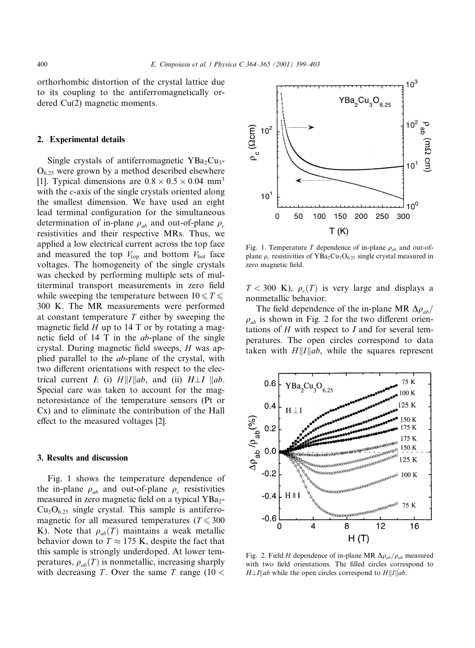orthorhombic distortion of the crystal lattice due to its coupling to the antiferromagnetically ordered  $Cu(2)$  magnetic moments.

## 2. Experimental details

Single crystals of antiferromagnetic  $YBa<sub>2</sub>Cu<sub>3</sub>$ - $O_{6.25}$  were grown by a method described elsewhere [1]. Typical dimensions are  $0.8 \times 0.5 \times 0.04$  mm<sup>3</sup> with the c-axis of the single crystals oriented along the smallest dimension. We have used an eight lead terminal configuration for the simultaneous determination of in-plane  $\rho_{ab}$  and out-of-plane  $\rho_c$ resistivities and their respective MRs. Thus, we applied a low electrical current across the top face and measured the top  $V_{\text{top}}$  and bottom  $V_{\text{bot}}$  face voltages. The homogeneity of the single crystals was checked by performing multiple sets of multiterminal transport measurements in zero field while sweeping the temperature between  $10 \le T \le$ 300 K. The MR measurements were performed at constant temperature  $T$  either by sweeping the magnetic field  $H$  up to 14 T or by rotating a magnetic field of 14 T in the *ab*-plane of the single crystal. During magnetic field sweeps, H was applied parallel to the *ab*-plane of the crystal, with two different orientations with respect to the electrical current *I*: (i)  $H||I||ab$ , and (ii)  $H\perp I||ab$ . Special care was taken to account for the magnetoresistance of the temperature sensors (Pt or Cx) and to eliminate the contribution of the Hall effect to the measured voltages [2].

#### 3. Results and discussion

Fig. 1 shows the temperature dependence of the in-plane  $\rho_{ab}$  and out-of-plane  $\rho_{c}$  resistivities measured in zero magnetic field on a typical YBa<sub>2</sub>- $Cu<sub>3</sub>O<sub>6.25</sub>$  single crystal. This sample is antiferromagnetic for all measured temperatures ( $T \le 300$ K). Note that  $\rho_{ab}(T)$  maintains a weak metallic behavior down to  $T \approx 175$  K, despite the fact that this sample is strongly underdoped. At lower temperatures,  $\rho_{ab}(T)$  is nonmetallic, increasing sharply with decreasing T. Over the same T range  $(10 <$ 



Fig. 1. Temperature T dependence of in-plane  $\rho_{ab}$  and out-ofplane  $\rho_c$  resistivities of YBa<sub>2</sub>Cu<sub>3</sub>O<sub>6.25</sub> single crystal measured in zero magnetic field.

 $T < 300$  K),  $\rho_c(T)$  is very large and displays a nonmetallic behavior.

The field dependence of the in-plane MR  $\Delta \rho_{ab}$ /  $\rho_{ab}$  is shown in Fig. 2 for the two different orientations of  $H$  with respect to  $I$  and for several temperatures. The open circles correspond to data taken with  $H||I||ab$ , while the squares represent



Fig. 2. Field H dependence of in-plane MR  $\Delta \rho_{ab}/\rho_{ab}$  measured with two field orientations. The filled circles correspond to  $H \perp I \parallel ab$  while the open circles correspond to  $H \parallel I \parallel ab$ .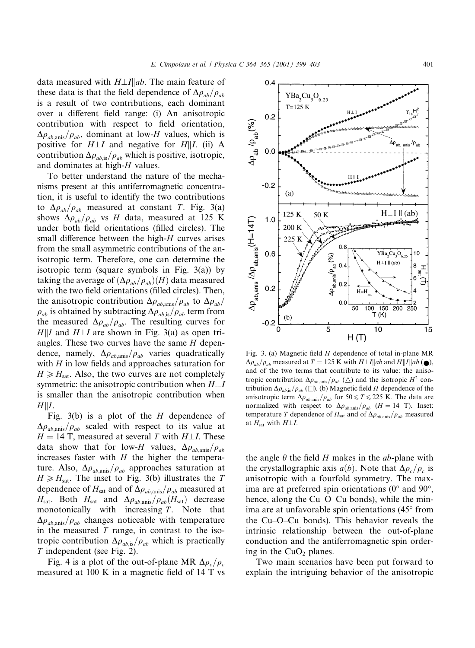$0.4$ 

 $YBa<sub>2</sub>Cu<sub>3</sub>O<sub>6.25</sub>$ 

data measured with  $H \perp I || ab$ . The main feature of these data is that the field dependence of  $\Delta \rho_{ab}/\rho_{ab}$ is a result of two contributions, each dominant over a different field range: (i) An anisotropic contribution with respect to field orientation,  $\Delta \rho_{ab, \text{anis}}/\rho_{ab}$ , dominant at low-H values, which is positive for  $H \perp I$  and negative for  $H \parallel I$ . (ii) A contribution  $\Delta \rho_{ab,is}/\rho_{ab}$  which is positive, isotropic, and dominates at high-H values.

To better understand the nature of the mechanisms present at this antiferromagnetic concentration, it is useful to identify the two contributions to  $\Delta \rho_{ab}/\rho_{ab}$  measured at constant T. Fig. 3(a) shows  $\Delta \rho_{ab}/\rho_{ab}$  vs H data, measured at 125 K under both field orientations (filled circles). The small difference between the high-H curves arises from the small asymmetric contributions of the anisotropic term. Therefore, one can determine the isotropic term (square symbols in Fig.  $3(a)$ ) by taking the average of  $(\Delta \rho_{ab}/\rho_{ab})(H)$  data measured with the two field orientations (filled circles). Then, the anisotropic contribution  $\Delta \rho_{ab, \text{anis}} / \rho_{ab}$  to  $\Delta \rho_{ab}$  $\rho_{ab}$  is obtained by subtracting  $\Delta \rho_{ab,is}/\rho_{ab}$  term from the measured  $\Delta \rho_{ab}/\rho_{ab}$ . The resulting curves for  $H||I$  and  $H\perp I$  are shown in Fig. 3(a) as open triangles. These two curves have the same  $H$  dependence, namely,  $\Delta \rho_{ab, \text{anis}} / \rho_{ab}$  varies quadratically with  $H$  in low fields and approaches saturation for  $H \ge H_{\text{sat}}$ . Also, the two curves are not completely symmetric: the anisotropic contribution when  $H \perp I$ is smaller than the anisotropic contribution when  $H\|I.$ 

Fig. 3(b) is a plot of the  $H$  dependence of  $\Delta \rho_{ab, \text{anis}}/\rho_{ab}$  scaled with respect to its value at  $H = 14$  T, measured at several T with  $H \perp I$ . These data show that for low-H values,  $\Delta \rho_{ab, \text{anis}}/\rho_{ab}$ increases faster with  $H$  the higher the temperature. Also,  $\Delta \rho_{ab, \text{anis}} / \rho_{ab}$  approaches saturation at  $H \ge H_{\text{sat}}$ . The inset to Fig. 3(b) illustrates the T dependence of  $H_{\text{sat}}$  and of  $\Delta \rho_{ab, \text{anis}}/\rho_{ab}$  measured at  $H_{\text{sat}}$ . Both  $H_{\text{sat}}$  and  $\Delta \rho_{ab,\text{anis}}/\rho_{ab}(H_{\text{sat}})$  decrease monotonically with increasing  $T$ . Note that  $\Delta \rho_{ab, \text{anis}}/\rho_{ab}$  changes noticeable with temperature in the measured  $T$  range, in contrast to the isotropic contribution  $\Delta \rho_{ab,is}/\rho_{ab}$  which is practically *T* independent (see Fig. 2).

Fig. 4 is a plot of the out-of-plane MR  $\Delta \rho_c / \rho_c$ measured at 100 K in a magnetic field of 14 T vs



 $\Delta \rho_{ab}/\rho_{ab}$  measured at  $T = 125$  K with  $H \perp I || ab$  and  $H || I || ab$  ( $\bullet$ ), and of the two terms that contribute to its value: the anisotropic contribution  $\Delta \rho_{ab, \text{anis}} / \rho_{ab}$  ( $\Delta$ ) and the isotropic  $H^2$  contribution  $\Delta \rho_{ab, is} / \rho_{ab}$  ( $\square$ ). (b) Magnetic field *H* dependence of the anisotropic term  $\Delta \rho_{ab, \text{anis}} / \rho_{ab}$  for 50  $\leq T \leq 225$  K. The data are normalized with respect to  $\Delta \rho_{ab, \text{anis}}/\rho_{ab}$  (*H* = 14 T). Inset: temperature T dependence of  $H_{\text{sat}}$  and of  $\Delta \rho_{ab, \text{anis}}/\rho_{ab}$  measured at  $H_{\text{sat}}$  with  $H \perp I$ .

the angle  $\theta$  the field H makes in the ab-plane with the crystallographic axis  $a(b)$ . Note that  $\Delta \rho_c / \rho_c$  is anisotropic with a fourfold symmetry. The maxima are at preferred spin orientations  $(0^{\circ}$  and  $90^{\circ}$ . hence, along the Cu–O–Cu bonds), while the minima are at unfavorable spin orientations (45° from the Cu–O–Cu bonds). This behavior reveals the intrinsic relationship between the out-of-plane conduction and the antiferromagnetic spin ordering in the CuO<sub>2</sub> planes.

Two main scenarios have been put forward to explain the intriguing behavior of the anisotropic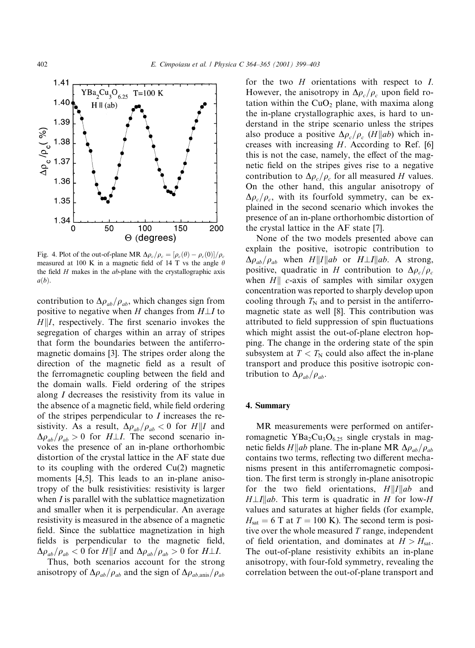

Fig. 4. Plot of the out-of-plane MR  $\Delta \rho_c / \rho_c = [\rho_c(\theta) - \rho_c(0)] / \rho_c$ measured at 100 K in a magnetic field of 14 T vs the angle  $\theta$ the field  $H$  makes in the  $ab$ -plane with the crystallographic axis  $a(b)$ .

contribution to  $\Delta \rho_{ab}/\rho_{ab}$ , which changes sign from positive to negative when H changes from  $H \perp I$  to  $H||I$ , respectively. The first scenario invokes the segregation of charges within an array of stripes that form the boundaries between the antiferromagnetic domains [3]. The stripes order along the direction of the magnetic field as a result of the ferromagnetic coupling between the field and the domain walls. Field ordering of the stripes along  $I$  decreases the resistivity from its value in the absence of a magnetic field, while field ordering of the stripes perpendicular to  $I$  increases the resistivity. As a result,  $\Delta \rho_{ab}/\rho_{ab} < 0$  for  $H||I$  and  $\Delta \rho_{ab}/\rho_{ab} > 0$  for  $H \perp I$ . The second scenario invokes the presence of an in-plane orthorhombic distortion of the crystal lattice in the AF state due to its coupling with the ordered  $Cu(2)$  magnetic moments [4,5]. This leads to an in-plane anisotropy of the bulk resistivities: resistivity is larger when  $I$  is parallel with the sublattice magnetization and smaller when it is perpendicular. An average resistivity is measured in the absence of a magnetic field. Since the sublattice magnetization in high fields is perpendicular to the magnetic field,  $\Delta \rho_{ab}/\rho_{ab} < 0$  for  $H||I$  and  $\Delta \rho_{ab}/\rho_{ab} > 0$  for  $H \perp I$ .

Thus, both scenarios account for the strong anisotropy of  $\Delta \rho_{ab}/\rho_{ab}$  and the sign of  $\Delta \rho_{ab, \text{anis}}/\rho_{ab}$  for the two  $H$  orientations with respect to  $I$ . However, the anisotropy in  $\Delta \rho_c / \rho_c$  upon field rotation within the  $CuO<sub>2</sub>$  plane, with maxima along the in-plane crystallographic axes, is hard to understand in the stripe scenario unless the stripes also produce a positive  $\Delta \rho_c / \rho_c$  (*H*||*ab*) which increases with increasing  $H$ . According to Ref. [6] this is not the case, namely, the effect of the magnetic field on the stripes gives rise to a negative contribution to  $\Delta \rho_c / \rho_c$  for all measured H values. On the other hand, this angular anisotropy of  $\Delta \rho_c / \rho_c$ , with its fourfold symmetry, can be explained in the second scenario which invokes the presence of an in-plane orthorhombic distortion of the crystal lattice in the AF state [7].

None of the two models presented above can explain the positive, isotropic contribution to  $\Delta \rho_{ab}/\rho_{ab}$  when H||I||ab or H $\perp I$ ||ab. A strong, positive, quadratic in H contribution to  $\Delta \rho_c / \rho_c$ when  $H\|$  c-axis of samples with similar oxygen concentration was reported to sharply develop upon cooling through  $T_N$  and to persist in the antiferromagnetic state as well [8]. This contribution was attributed to field suppression of spin fluctuations which might assist the out-of-plane electron hopping. The change in the ordering state of the spin subsystem at  $T < T_N$  could also affect the in-plane transport and produce this positive isotropic contribution to  $\Delta \rho_{ab}/\rho_{ab}$ .

### 4. Summary

MR measurements were performed on antiferromagnetic  $YBa<sub>2</sub>Cu<sub>3</sub>O<sub>6.25</sub>$  single crystals in magnetic fields  $H||ab$  plane. The in-plane MR  $\Delta \rho_{ab}/\rho_{ab}$ contains two terms, reflecting two different mechanisms present in this antiferromagnetic composition. The first term is strongly in-plane anisotropic for the two field orientations,  $H||I||ab$  and  $H \perp I \parallel ab$ . This term is quadratic in H for low-H values and saturates at higher fields (for example,  $H_{\text{sat}} = 6$  T at  $T = 100$  K). The second term is positive over the whole measured  $T$  range, independent of field orientation, and dominates at  $H > H<sub>sat</sub>$ . The out-of-plane resistivity exhibits an in-plane anisotropy, with four-fold symmetry, revealing the correlation between the out-of-plane transport and